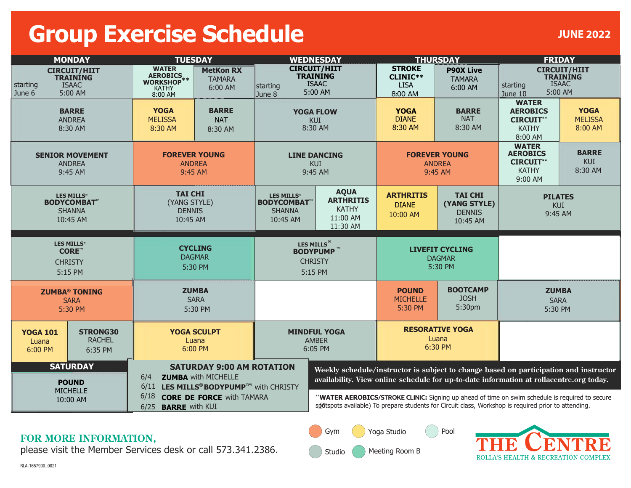## **Group Exercise Schedule**

| <b>MONDAY</b>                                                                           |                                             | <b>TUESDAY</b>                                                                                                    |                                                                                                          | <b>WEDNESDAY</b>                                                                               |                                                                                                                                                                                                        | <b>THURSDAY</b>                                     |                                                             | <b>FRIDAY</b>                                                                            |                                          |
|-----------------------------------------------------------------------------------------|---------------------------------------------|-------------------------------------------------------------------------------------------------------------------|----------------------------------------------------------------------------------------------------------|------------------------------------------------------------------------------------------------|--------------------------------------------------------------------------------------------------------------------------------------------------------------------------------------------------------|-----------------------------------------------------|-------------------------------------------------------------|------------------------------------------------------------------------------------------|------------------------------------------|
| <b>CIRCUIT/HIIT</b><br><b>TRAINING</b><br><b>ISAAC</b><br>starting<br>5:00 AM<br>June 6 |                                             | <b>WATER</b><br><b>MetKon RX</b><br>AEROBICS<br>WORKSHOP**<br><b>TAMARA</b><br>6:00 AM<br><b>KATHY</b><br>8:00 AM |                                                                                                          | <b>CIRCUIT/HIIT</b><br><b>TRAINING</b><br><b>ISAAC</b><br><b>starting</b><br>5:00 AM<br>June 8 |                                                                                                                                                                                                        | <b>STROKE</b><br>CLINIC**<br><b>LISA</b><br>8:00 AM | <b>P90X Live</b><br><b>TAMARA</b><br>6:00 AM                | <b>CIRCUIT/HIIT</b><br><b>TRAINING</b><br><b>ISAAC</b><br>starting<br>5:00 AM<br>June 10 |                                          |
| <b>BARRE</b><br><b>ANDREA</b><br>8:30 AM                                                |                                             | <b>YOGA</b><br><b>BARRE</b><br><b>MELISSA</b><br><b>NAT</b><br>8:30 AM<br>8:30 AM                                 |                                                                                                          | <b>YOGA FLOW</b><br><b>KUI</b><br>8:30 AM                                                      |                                                                                                                                                                                                        | <b>YOGA</b><br><b>DIANE</b><br>8:30 AM              | <b>BARRE</b><br><b>NAT</b><br>8:30 AM                       | <b>WATER</b><br><b>AEROBICS</b><br><b>CIRCUIT**</b><br><b>KATHY</b><br>8:00 AM           | <b>YOGA</b><br><b>MELISSA</b><br>8:00 AM |
| <b>SENIOR MOVEMENT</b><br><b>ANDREA</b><br>9:45 AM                                      |                                             | <b>FOREVER YOUNG</b><br><b>ANDREA</b><br>9:45 AM                                                                  |                                                                                                          | <b>LINE DANCING</b><br><b>KUI</b><br>9:45 AM                                                   |                                                                                                                                                                                                        | <b>FOREVER YOUNG</b><br><b>ANDREA</b><br>9:45 AM    |                                                             | <b>WATER</b><br><b>AEROBICS</b><br><b>CIRCUIT**</b><br><b>KATHY</b><br>9:00 AM           | <b>BARRE</b><br><b>KUI</b><br>8:30 AM    |
| <b>LES MILLS®</b><br><b>BODYCOMBAT</b> ™<br><b>SHANNA</b><br>10:45 AM                   |                                             | <b>TAI CHI</b><br>(YANG STYLE)<br><b>DENNIS</b><br>10:45 AM                                                       |                                                                                                          | <b>LES MILLS®</b><br><b>BODYCOMBAT</b><br><b>SHANNA</b><br>10:45 AM                            | <b>AQUA</b><br><b>ARTHRITIS</b><br><b>KATHY</b><br>11:00 AM<br>11:30 AM                                                                                                                                | <b>ARTHRITIS</b><br><b>DIANE</b><br>10:00 AM        | <b>TAI CHI</b><br>(YANG STYLE)<br><b>DENNIS</b><br>10:45 AM | <b>PILATES</b><br><b>KUI</b><br>9:45 AM                                                  |                                          |
| <b>LES MILLS®</b><br>CORE™<br><b>CHRISTY</b><br>5:15 PM                                 |                                             | <b>CYCLING</b><br><b>DAGMAR</b><br>5:30 PM                                                                        |                                                                                                          | LES MILLS <sup>®</sup><br><b>BODYPUMP™</b><br><b>CHRISTY</b><br>5:15 PM                        |                                                                                                                                                                                                        | <b>LIVEFIT CYCLING</b><br><b>DAGMAR</b><br>5:30 PM  |                                                             |                                                                                          |                                          |
| <b>ZUMBA<sup>®</sup> TONING</b><br><b>SARA</b><br>5:30 PM                               |                                             | <b>ZUMBA</b><br><b>SARA</b><br>5:30 PM                                                                            |                                                                                                          |                                                                                                |                                                                                                                                                                                                        | <b>POUND</b><br><b>MICHELLE</b><br>5:30 PM          | <b>BOOTCAMP</b><br><b>JOSH</b><br>5:30pm                    | <b>ZUMBA</b><br><b>SARA</b><br>5:30 PM                                                   |                                          |
| <b>YOGA 101</b><br>Luana<br>6:00 PM                                                     | <b>STRONG30</b><br><b>RACHEL</b><br>6:35 PM | <b>YOGA SCULPT</b><br>Luana<br>6:00 PM                                                                            |                                                                                                          | <b>MINDFUL YOGA</b><br><b>AMBER</b><br>6:05 PM                                                 |                                                                                                                                                                                                        | <b>RESORATIVE YOGA</b><br>Luana<br>6:30 PM          |                                                             |                                                                                          |                                          |
| <b>SATURDAY</b><br><b>POUND</b><br><b>MICHELLE</b>                                      |                                             | 6/4                                                                                                               | <b>SATURDAY 9:00 AM ROTATION</b><br><b>ZUMBA with MICHELLE</b><br>6/11 LES MILLS® BODYPUMP™ with CHRISTY |                                                                                                | Weekly schedule/instructor is subject to change based on participation and instructor<br>availability. View online schedule for up-to-date information at rollacentre.org today.                       |                                                     |                                                             |                                                                                          |                                          |
| 10:00 AM                                                                                |                                             | 6/18<br><b>CORE DE FORCE With TAMARA</b><br>6/25<br><b>BARRE</b> with KUI                                         |                                                                                                          |                                                                                                | "WATER AEROBICS/STROKE CLINIC: Signing up ahead of time on swim schedule is required to secure<br>spotspots available) To prepare students for Circuit class, Workshop is required prior to attending. |                                                     |                                                             |                                                                                          |                                          |

## **FOR MORE INFORMATION,**

please visit the Member Services desk or call 573.341.2386.

RLA-1657900\_0821



Gym

Yoga Studio

 $($   $)$  Pool

ROLLA'S HEALTH & RECREATION COMPLEX